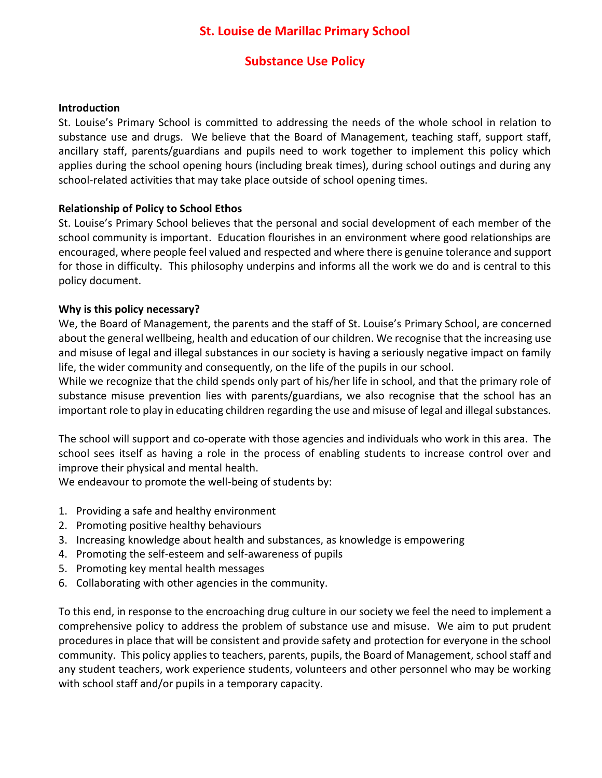# **St. Louise de Marillac Primary School**

# **Substance Use Policy**

#### **Introduction**

St. Louise's Primary School is committed to addressing the needs of the whole school in relation to substance use and drugs. We believe that the Board of Management, teaching staff, support staff, ancillary staff, parents/guardians and pupils need to work together to implement this policy which applies during the school opening hours (including break times), during school outings and during any school-related activities that may take place outside of school opening times.

#### **Relationship of Policy to School Ethos**

St. Louise's Primary School believes that the personal and social development of each member of the school community is important. Education flourishes in an environment where good relationships are encouraged, where people feel valued and respected and where there is genuine tolerance and support for those in difficulty. This philosophy underpins and informs all the work we do and is central to this policy document.

#### **Why is this policy necessary?**

We, the Board of Management, the parents and the staff of St. Louise's Primary School, are concerned about the general wellbeing, health and education of our children. We recognise that the increasing use and misuse of legal and illegal substances in our society is having a seriously negative impact on family life, the wider community and consequently, on the life of the pupils in our school.

While we recognize that the child spends only part of his/her life in school, and that the primary role of substance misuse prevention lies with parents/guardians, we also recognise that the school has an important role to play in educating children regarding the use and misuse of legal and illegal substances.

The school will support and co-operate with those agencies and individuals who work in this area. The school sees itself as having a role in the process of enabling students to increase control over and improve their physical and mental health.

We endeavour to promote the well-being of students by:

- 1. Providing a safe and healthy environment
- 2. Promoting positive healthy behaviours
- 3. Increasing knowledge about health and substances, as knowledge is empowering
- 4. Promoting the self-esteem and self-awareness of pupils
- 5. Promoting key mental health messages
- 6. Collaborating with other agencies in the community.

To this end, in response to the encroaching drug culture in our society we feel the need to implement a comprehensive policy to address the problem of substance use and misuse. We aim to put prudent procedures in place that will be consistent and provide safety and protection for everyone in the school community. This policy applies to teachers, parents, pupils, the Board of Management, school staff and any student teachers, work experience students, volunteers and other personnel who may be working with school staff and/or pupils in a temporary capacity.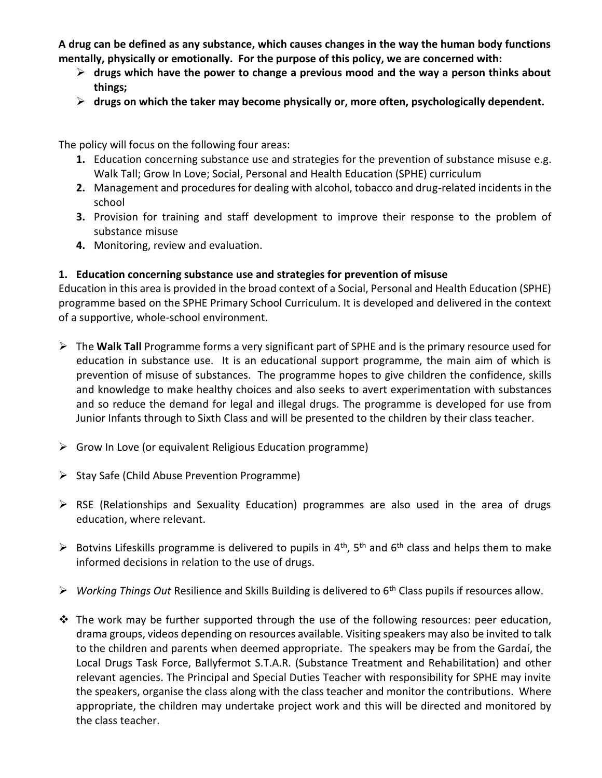**A drug can be defined as any substance, which causes changes in the way the human body functions mentally, physically or emotionally. For the purpose of this policy, we are concerned with:**

- **drugs which have the power to change a previous mood and the way a person thinks about things;**
- **drugs on which the taker may become physically or, more often, psychologically dependent.**

The policy will focus on the following four areas:

- **1.** Education concerning substance use and strategies for the prevention of substance misuse e.g. Walk Tall; Grow In Love; Social, Personal and Health Education (SPHE) curriculum
- **2.** Management and procedures for dealing with alcohol, tobacco and drug-related incidents in the school
- **3.** Provision for training and staff development to improve their response to the problem of substance misuse
- **4.** Monitoring, review and evaluation.

## **1. Education concerning substance use and strategies for prevention of misuse**

Education in this area is provided in the broad context of a Social, Personal and Health Education (SPHE) programme based on the SPHE Primary School Curriculum. It is developed and delivered in the context of a supportive, whole-school environment.

- The **Walk Tall** Programme forms a very significant part of SPHE and is the primary resource used for education in substance use. It is an educational support programme, the main aim of which is prevention of misuse of substances. The programme hopes to give children the confidence, skills and knowledge to make healthy choices and also seeks to avert experimentation with substances and so reduce the demand for legal and illegal drugs. The programme is developed for use from Junior Infants through to Sixth Class and will be presented to the children by their class teacher.
- $\triangleright$  Grow In Love (or equivalent Religious Education programme)
- $\triangleright$  Stay Safe (Child Abuse Prevention Programme)
- $\triangleright$  RSE (Relationships and Sexuality Education) programmes are also used in the area of drugs education, where relevant.
- Botvins Lifeskills programme is delivered to pupils in 4<sup>th</sup>, 5<sup>th</sup> and 6<sup>th</sup> class and helps them to make informed decisions in relation to the use of drugs.
- *Working Things Out* Resilience and Skills Building is delivered to 6th Class pupils if resources allow.
- $\cdot \cdot$  The work may be further supported through the use of the following resources: peer education, drama groups, videos depending on resources available. Visiting speakers may also be invited to talk to the children and parents when deemed appropriate. The speakers may be from the Gardaí, the Local Drugs Task Force, Ballyfermot S.T.A.R. (Substance Treatment and Rehabilitation) and other relevant agencies. The Principal and Special Duties Teacher with responsibility for SPHE may invite the speakers, organise the class along with the class teacher and monitor the contributions. Where appropriate, the children may undertake project work and this will be directed and monitored by the class teacher.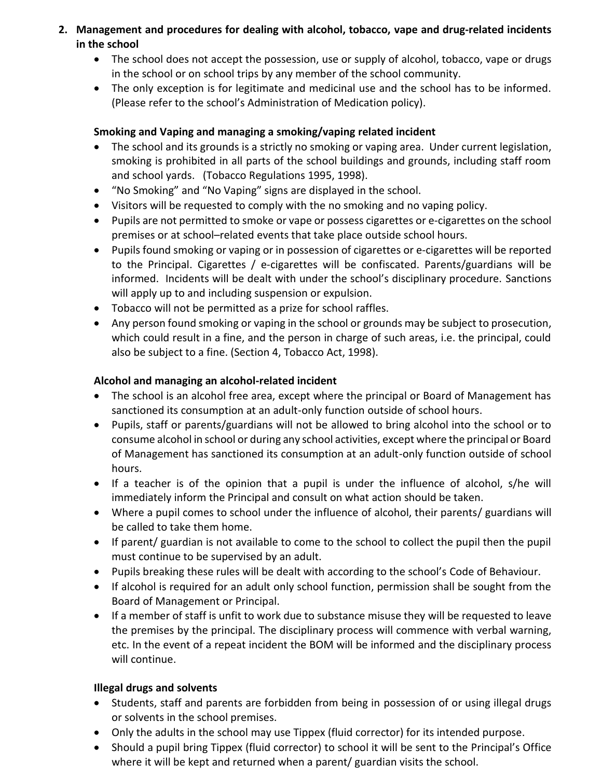- **2. Management and procedures for dealing with alcohol, tobacco, vape and drug-related incidents in the school**
	- The school does not accept the possession, use or supply of alcohol, tobacco, vape or drugs in the school or on school trips by any member of the school community.
	- The only exception is for legitimate and medicinal use and the school has to be informed. (Please refer to the school's Administration of Medication policy).

## **Smoking and Vaping and managing a smoking/vaping related incident**

- The school and its grounds is a strictly no smoking or vaping area. Under current legislation, smoking is prohibited in all parts of the school buildings and grounds, including staff room and school yards. (Tobacco Regulations 1995, 1998).
- "No Smoking" and "No Vaping" signs are displayed in the school.
- Visitors will be requested to comply with the no smoking and no vaping policy.
- Pupils are not permitted to smoke or vape or possess cigarettes or e-cigarettes on the school premises or at school–related events that take place outside school hours.
- Pupils found smoking or vaping or in possession of cigarettes or e-cigarettes will be reported to the Principal. Cigarettes / e-cigarettes will be confiscated. Parents/guardians will be informed. Incidents will be dealt with under the school's disciplinary procedure. Sanctions will apply up to and including suspension or expulsion.
- Tobacco will not be permitted as a prize for school raffles.
- Any person found smoking or vaping in the school or grounds may be subject to prosecution, which could result in a fine, and the person in charge of such areas, i.e. the principal, could also be subject to a fine. (Section 4, Tobacco Act, 1998).

# **Alcohol and managing an alcohol-related incident**

- The school is an alcohol free area, except where the principal or Board of Management has sanctioned its consumption at an adult-only function outside of school hours.
- Pupils, staff or parents/guardians will not be allowed to bring alcohol into the school or to consume alcohol in school or during any school activities, except where the principal or Board of Management has sanctioned its consumption at an adult-only function outside of school hours.
- If a teacher is of the opinion that a pupil is under the influence of alcohol, s/he will immediately inform the Principal and consult on what action should be taken.
- Where a pupil comes to school under the influence of alcohol, their parents/ guardians will be called to take them home.
- If parent/ guardian is not available to come to the school to collect the pupil then the pupil must continue to be supervised by an adult.
- Pupils breaking these rules will be dealt with according to the school's Code of Behaviour.
- If alcohol is required for an adult only school function, permission shall be sought from the Board of Management or Principal.
- If a member of staff is unfit to work due to substance misuse they will be requested to leave the premises by the principal. The disciplinary process will commence with verbal warning, etc. In the event of a repeat incident the BOM will be informed and the disciplinary process will continue.

# **Illegal drugs and solvents**

- Students, staff and parents are forbidden from being in possession of or using illegal drugs or solvents in the school premises.
- Only the adults in the school may use Tippex (fluid corrector) for its intended purpose.
- Should a pupil bring Tippex (fluid corrector) to school it will be sent to the Principal's Office where it will be kept and returned when a parent/ guardian visits the school.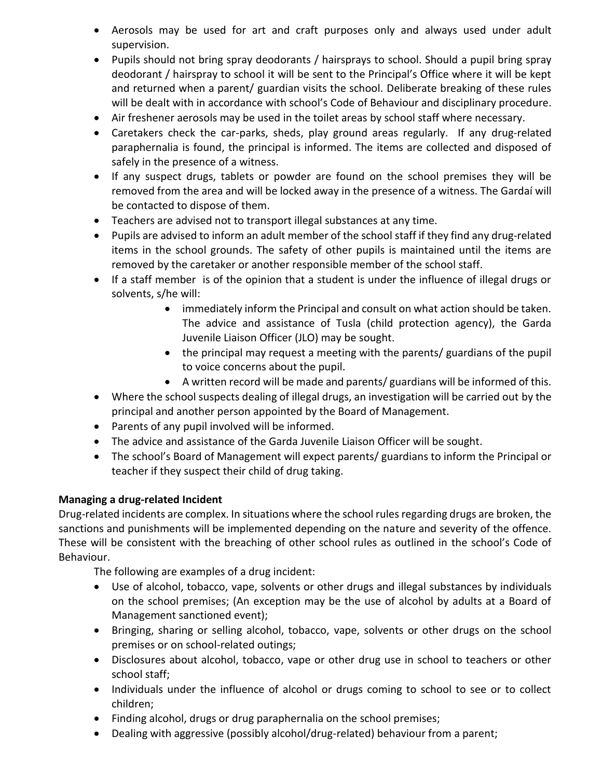- Aerosols may be used for art and craft purposes only and always used under adult supervision.
- Pupils should not bring spray deodorants / hairsprays to school. Should a pupil bring spray deodorant / hairspray to school it will be sent to the Principal's Office where it will be kept and returned when a parent/ guardian visits the school. Deliberate breaking of these rules will be dealt with in accordance with school's Code of Behaviour and disciplinary procedure.
- Air freshener aerosols may be used in the toilet areas by school staff where necessary.
- Caretakers check the car-parks, sheds, play ground areas regularly. If any drug-related paraphernalia is found, the principal is informed. The items are collected and disposed of safely in the presence of a witness.
- If any suspect drugs, tablets or powder are found on the school premises they will be removed from the area and will be locked away in the presence of a witness. The Gardaí will be contacted to dispose of them.
- Teachers are advised not to transport illegal substances at any time.
- Pupils are advised to inform an adult member of the school staff if they find any drug-related items in the school grounds. The safety of other pupils is maintained until the items are removed by the caretaker or another responsible member of the school staff.
- If a staff member is of the opinion that a student is under the influence of illegal drugs or solvents, s/he will:
	- immediately inform the Principal and consult on what action should be taken. The advice and assistance of Tusla (child protection agency), the Garda Juvenile Liaison Officer (JLO) may be sought.
	- the principal may request a meeting with the parents/ guardians of the pupil to voice concerns about the pupil.
	- A written record will be made and parents/ guardians will be informed of this.
- Where the school suspects dealing of illegal drugs, an investigation will be carried out by the principal and another person appointed by the Board of Management.
- Parents of any pupil involved will be informed.
- The advice and assistance of the Garda Juvenile Liaison Officer will be sought.
- The school's Board of Management will expect parents/ guardians to inform the Principal or teacher if they suspect their child of drug taking.

## **Managing a drug-related Incident**

Drug-related incidents are complex. In situations where the school rules regarding drugs are broken, the sanctions and punishments will be implemented depending on the nature and severity of the offence. These will be consistent with the breaching of other school rules as outlined in the school's Code of Behaviour.

The following are examples of a drug incident:

- Use of alcohol, tobacco, vape, solvents or other drugs and illegal substances by individuals on the school premises; (An exception may be the use of alcohol by adults at a Board of Management sanctioned event);
- Bringing, sharing or selling alcohol, tobacco, vape, solvents or other drugs on the school premises or on school-related outings;
- Disclosures about alcohol, tobacco, vape or other drug use in school to teachers or other school staff;
- Individuals under the influence of alcohol or drugs coming to school to see or to collect children;
- Finding alcohol, drugs or drug paraphernalia on the school premises;
- Dealing with aggressive (possibly alcohol/drug-related) behaviour from a parent;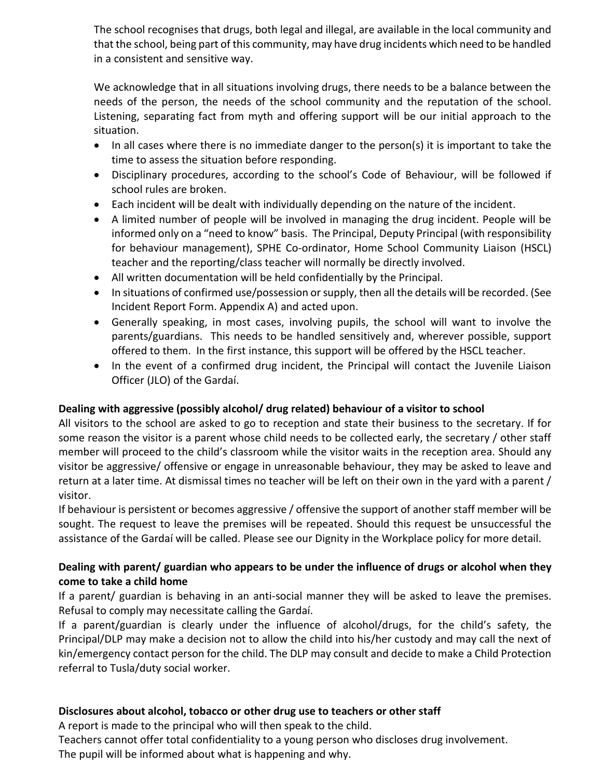The school recognises that drugs, both legal and illegal, are available in the local community and that the school, being part of this community, may have drug incidents which need to be handled in a consistent and sensitive way.

We acknowledge that in all situations involving drugs, there needs to be a balance between the needs of the person, the needs of the school community and the reputation of the school. Listening, separating fact from myth and offering support will be our initial approach to the situation.

- In all cases where there is no immediate danger to the person(s) it is important to take the time to assess the situation before responding.
- Disciplinary procedures, according to the school's Code of Behaviour, will be followed if school rules are broken.
- Each incident will be dealt with individually depending on the nature of the incident.
- A limited number of people will be involved in managing the drug incident. People will be informed only on a "need to know" basis. The Principal, Deputy Principal (with responsibility for behaviour management), SPHE Co-ordinator, Home School Community Liaison (HSCL) teacher and the reporting/class teacher will normally be directly involved.
- All written documentation will be held confidentially by the Principal.
- In situations of confirmed use/possession or supply, then all the details will be recorded. (See Incident Report Form. Appendix A) and acted upon.
- Generally speaking, in most cases, involving pupils, the school will want to involve the parents/guardians. This needs to be handled sensitively and, wherever possible, support offered to them. In the first instance, this support will be offered by the HSCL teacher.
- In the event of a confirmed drug incident, the Principal will contact the Juvenile Liaison Officer (JLO) of the Gardaí.

## **Dealing with aggressive (possibly alcohol/ drug related) behaviour of a visitor to school**

All visitors to the school are asked to go to reception and state their business to the secretary. If for some reason the visitor is a parent whose child needs to be collected early, the secretary / other staff member will proceed to the child's classroom while the visitor waits in the reception area. Should any visitor be aggressive/ offensive or engage in unreasonable behaviour, they may be asked to leave and return at a later time. At dismissal times no teacher will be left on their own in the yard with a parent / visitor.

If behaviour is persistent or becomes aggressive / offensive the support of another staff member will be sought. The request to leave the premises will be repeated. Should this request be unsuccessful the assistance of the Gardaí will be called. Please see our Dignity in the Workplace policy for more detail.

## **Dealing with parent/ guardian who appears to be under the influence of drugs or alcohol when they come to take a child home**

If a parent/ guardian is behaving in an anti-social manner they will be asked to leave the premises. Refusal to comply may necessitate calling the Gardaí.

If a parent/guardian is clearly under the influence of alcohol/drugs, for the child's safety, the Principal/DLP may make a decision not to allow the child into his/her custody and may call the next of kin/emergency contact person for the child. The DLP may consult and decide to make a Child Protection referral to Tusla/duty social worker.

## **Disclosures about alcohol, tobacco or other drug use to teachers or other staff**

A report is made to the principal who will then speak to the child.

Teachers cannot offer total confidentiality to a young person who discloses drug involvement.

The pupil will be informed about what is happening and why.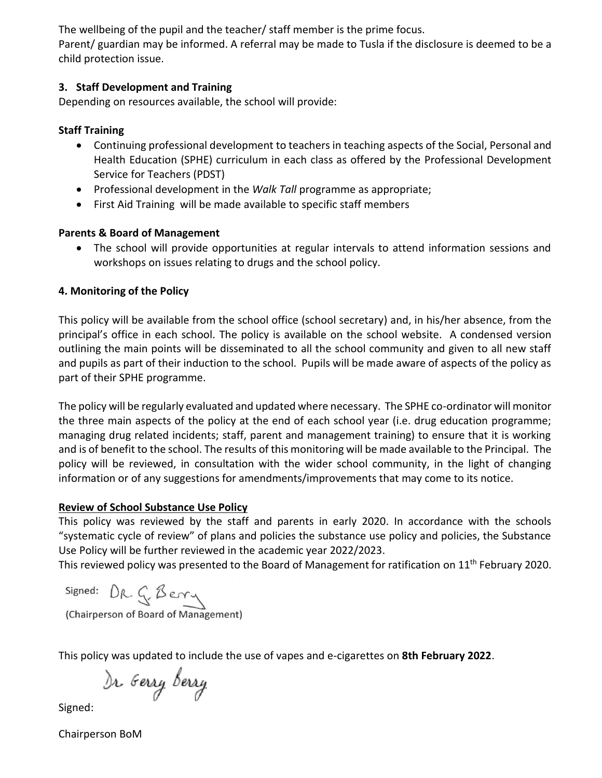The wellbeing of the pupil and the teacher/ staff member is the prime focus.

Parent/ guardian may be informed. A referral may be made to Tusla if the disclosure is deemed to be a child protection issue.

## **3. Staff Development and Training**

Depending on resources available, the school will provide:

## **Staff Training**

- Continuing professional development to teachers in teaching aspects of the Social, Personal and Health Education (SPHE) curriculum in each class as offered by the Professional Development Service for Teachers (PDST)
- Professional development in the *Walk Tall* programme as appropriate;
- First Aid Training will be made available to specific staff members

# **Parents & Board of Management**

 The school will provide opportunities at regular intervals to attend information sessions and workshops on issues relating to drugs and the school policy.

# **4. Monitoring of the Policy**

This policy will be available from the school office (school secretary) and, in his/her absence, from the principal's office in each school. The policy is available on the school website. A condensed version outlining the main points will be disseminated to all the school community and given to all new staff and pupils as part of their induction to the school. Pupils will be made aware of aspects of the policy as part of their SPHE programme.

The policy will be regularly evaluated and updated where necessary. The SPHE co-ordinator will monitor the three main aspects of the policy at the end of each school year (i.e. drug education programme; managing drug related incidents; staff, parent and management training) to ensure that it is working and is of benefit to the school. The results of this monitoring will be made available to the Principal. The policy will be reviewed, in consultation with the wider school community, in the light of changing information or of any suggestions for amendments/improvements that may come to its notice.

# **Review of School Substance Use Policy**

This policy was reviewed by the staff and parents in early 2020. In accordance with the schools "systematic cycle of review" of plans and policies the substance use policy and policies, the Substance Use Policy will be further reviewed in the academic year 2022/2023.

This reviewed policy was presented to the Board of Management for ratification on 11<sup>th</sup> February 2020.

signed: DR. G. Berry

(Chairperson of Board of Management)

This policy was updated to include the use of vapes and e-cigarettes on **8th February 2022**.

)r <sub>G</sub>erry berry

Signed:

Chairperson BoM